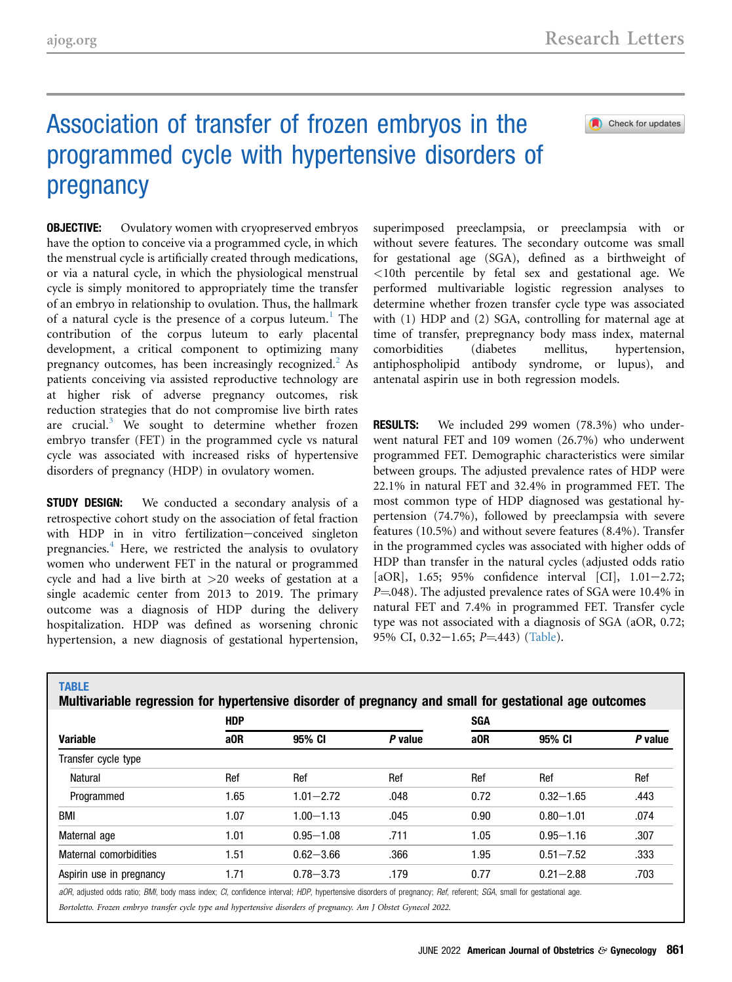Check for updates

## Association of transfer of frozen embryos in the programmed cycle with hypertensive disorders of pregnancy

**OBJECTIVE:** Ovulatory women with cryopreserved embryos have the option to conceive via a programmed cycle, in which the menstrual cycle is artificially created through medications, or via a natural cycle, in which the physiological menstrual cycle is simply monitored to appropriately time the transfer of an embryo in relationship to ovulation. Thus, the hallmark of a natural cycle is the presence of a corpus luteum.<sup>[1](#page-1-0)</sup> The contribution of the corpus luteum to early placental development, a critical component to optimizing many pregnancy outcomes, has been increasingly recognized.<sup>[2](#page-1-1)</sup> As patients conceiving via assisted reproductive technology are at higher risk of adverse pregnancy outcomes, risk reduction strategies that do not compromise live birth rates are crucial. $3$  We sought to determine whether frozen embryo transfer (FET) in the programmed cycle vs natural cycle was associated with increased risks of hypertensive disorders of pregnancy (HDP) in ovulatory women.

**STUDY DESIGN:** We conducted a secondary analysis of a retrospective cohort study on the association of fetal fraction with HDP in in vitro fertilization-conceived singleton pregnancies. $4$  Here, we restricted the analysis to ovulatory women who underwent FET in the natural or programmed cycle and had a live birth at >20 weeks of gestation at a single academic center from 2013 to 2019. The primary outcome was a diagnosis of HDP during the delivery hospitalization. HDP was defined as worsening chronic hypertension, a new diagnosis of gestational hypertension,

superimposed preeclampsia, or preeclampsia with or without severe features. The secondary outcome was small for gestational age (SGA), defined as a birthweight of <10th percentile by fetal sex and gestational age. We performed multivariable logistic regression analyses to determine whether frozen transfer cycle type was associated with (1) HDP and (2) SGA, controlling for maternal age at time of transfer, prepregnancy body mass index, maternal comorbidities (diabetes mellitus, hypertension, antiphospholipid antibody syndrome, or lupus), and antenatal aspirin use in both regression models.

**RESULTS:** We included 299 women (78.3%) who underwent natural FET and 109 women (26.7%) who underwent programmed FET. Demographic characteristics were similar between groups. The adjusted prevalence rates of HDP were 22.1% in natural FET and 32.4% in programmed FET. The most common type of HDP diagnosed was gestational hypertension (74.7%), followed by preeclampsia with severe features (10.5%) and without severe features (8.4%). Transfer in the programmed cycles was associated with higher odds of HDP than transfer in the natural cycles (adjusted odds ratio [aOR],  $1.65$ ;  $95\%$  confidence interval [CI],  $1.01-2.72$ ;  $P = 048$ ). The adjusted prevalence rates of SGA were 10.4% in natural FET and 7.4% in programmed FET. Transfer cycle type was not associated with a diagnosis of SGA (aOR, 0.72; 95% CI,  $0.32-1.65$ ;  $P = 443$ ) ([Table\)](#page-0-0).

<span id="page-0-0"></span>

| <b>Variable</b>          | <b>HDP</b>      |               |         | <b>SGA</b> |               |         |
|--------------------------|-----------------|---------------|---------|------------|---------------|---------|
|                          | a <sub>OR</sub> | 95% CI        | P value | a0R        | 95% CI        | P value |
| Transfer cycle type      |                 |               |         |            |               |         |
| <b>Natural</b>           | Ref             | Ref           | Ref     | Ref        | Ref           | Ref     |
| Programmed               | 1.65            | $1.01 - 2.72$ | .048    | 0.72       | $0.32 - 1.65$ | .443    |
| BMI                      | 1.07            | $1.00 - 1.13$ | .045    | 0.90       | $0.80 - 1.01$ | .074    |
| Maternal age             | 1.01            | $0.95 - 1.08$ | .711    | 1.05       | $0.95 - 1.16$ | .307    |
| Maternal comorbidities   | 1.51            | $0.62 - 3.66$ | .366    | 1.95       | $0.51 - 7.52$ | .333    |
| Aspirin use in pregnancy | 1.71            | $0.78 - 3.73$ | .179    | 0.77       | $0.21 - 2.88$ | .703    |

Bortoletto. Frozen embryo transfer cycle type and hypertensive disorders of pregnancy. Am J Obstet Gynecol 2022.